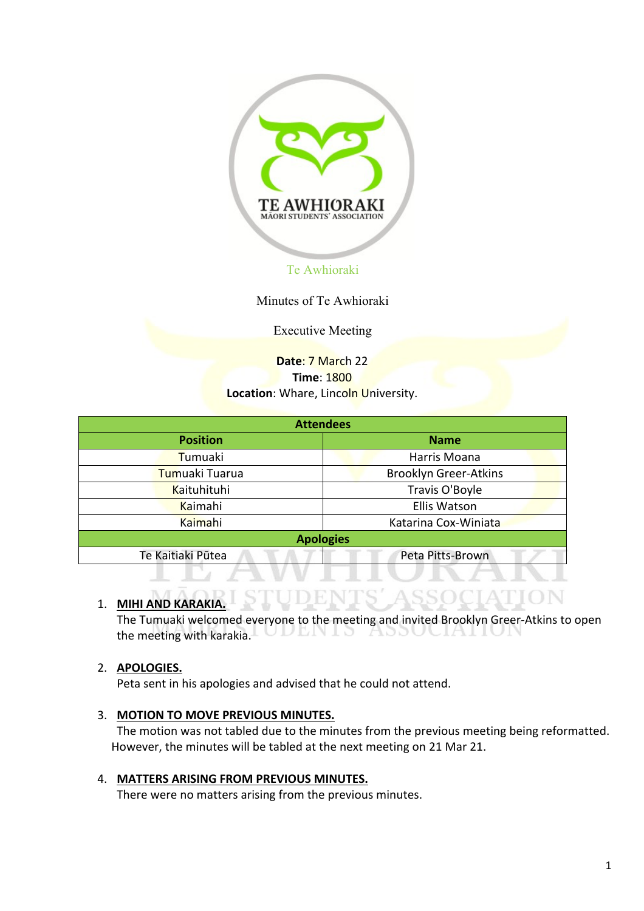

Minutes of Te Awhioraki

Executive Meeting

**Date**: 7 March 22 **Time**: 1800 **Location: Whare, Lincoln University.** 

| <b>Attendees</b>   |                              |  |  |  |
|--------------------|------------------------------|--|--|--|
| <b>Position</b>    | <b>Name</b>                  |  |  |  |
| Tumuaki            | Harris Moana                 |  |  |  |
| Tumuaki Tuarua     | <b>Brooklyn Greer-Atkins</b> |  |  |  |
| <b>Kaituhituhi</b> | Travis O'Boyle               |  |  |  |
| Kaimahi            | <b>Ellis Watson</b>          |  |  |  |
| Kaimahi            | Katarina Cox-Winiata         |  |  |  |
|                    | <b>Apologies</b>             |  |  |  |
| Te Kaitiaki Pūtea  | Peta Pitts-Brown             |  |  |  |
|                    |                              |  |  |  |

# 1. **MIHI AND KARAKIA.**

The Tumuaki welcomed everyone to the meeting and invited Brooklyn Greer-Atkins to open the meeting with karakia. UULNIS ASSOCIATION

# 2. **APOLOGIES.**

Peta sent in his apologies and advised that he could not attend.

#### 3. **MOTION TO MOVE PREVIOUS MINUTES.**

The motion was not tabled due to the minutes from the previous meeting being reformatted. However, the minutes will be tabled at the next meeting on 21 Mar 21.

#### 4. **MATTERS ARISING FROM PREVIOUS MINUTES.**

There were no matters arising from the previous minutes.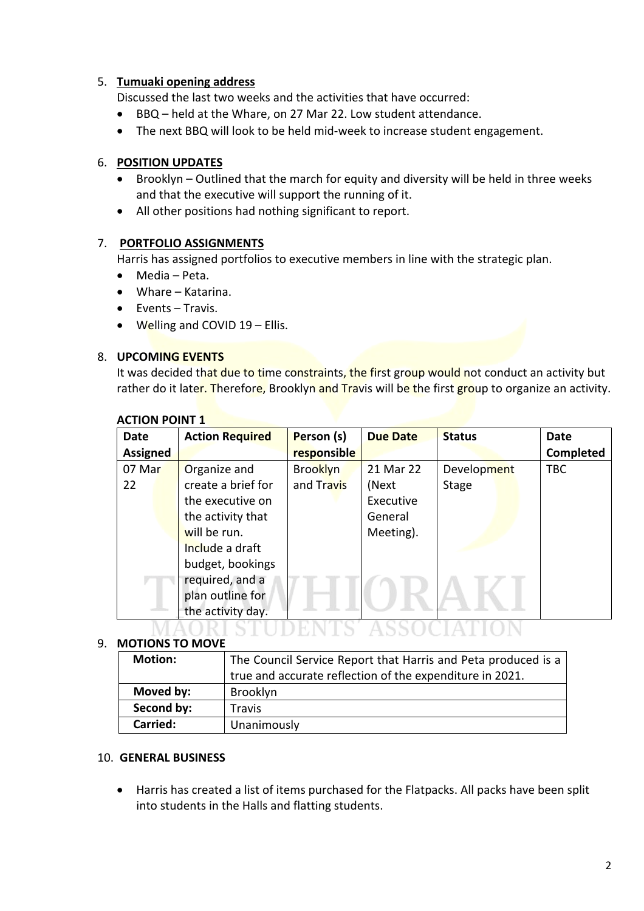# 5. **Tumuaki opening address**

Discussed the last two weeks and the activities that have occurred:

- BBQ held at the Whare, on 27 Mar 22. Low student attendance.
- The next BBQ will look to be held mid-week to increase student engagement.

# 6. **POSITION UPDATES**

- Brooklyn Outlined that the march for equity and diversity will be held in three weeks and that the executive will support the running of it.
- All other positions had nothing significant to report.

# 7. **PORTFOLIO ASSIGNMENTS**

Harris has assigned portfolios to executive members in line with the strategic plan.

- Media Peta.
- Whare Katarina.
- Events Travis.
- $\bullet$  Welling and COVID 19 Ellis.

#### 8. **UPCOMING EVENTS**

It was decided that due to time constraints, the first group would not conduct an activity but rather do it later. Therefore, Brooklyn and Travis will be the first group to organize an activity.

| <b>Date</b>     | <b>Action Required</b> | Person (s)      | <b>Due Date</b> | <b>Status</b> | <b>Date</b> |
|-----------------|------------------------|-----------------|-----------------|---------------|-------------|
| <b>Assigned</b> |                        | responsible     |                 |               | Completed   |
| 07 Mar          | Organize and           | <b>Brooklyn</b> | 21 Mar 22       | Development   | <b>TBC</b>  |
| 22              | create a brief for     | and Travis      | (Next           | <b>Stage</b>  |             |
|                 | the executive on       |                 | Executive       |               |             |
|                 | the activity that      |                 | General         |               |             |
|                 | will be run.           |                 | Meeting).       |               |             |
|                 | Include a draft        |                 |                 |               |             |
|                 | budget, bookings       |                 |                 |               |             |
|                 | required, and a        |                 |                 |               |             |
|                 | plan outline for       |                 |                 |               |             |
|                 | the activity day.      |                 |                 |               |             |
|                 |                        |                 |                 |               |             |

# **ACTION POINT 1**

#### 9. **MOTIONS TO MOVE**

| <b>Motion:</b> | The Council Service Report that Harris and Peta produced is a<br>true and accurate reflection of the expenditure in 2021. |
|----------------|---------------------------------------------------------------------------------------------------------------------------|
| Moved by:      | Brooklyn                                                                                                                  |
| Second by:     | <b>Travis</b>                                                                                                             |
| Carried:       | Unanimously                                                                                                               |

# 10. **GENERAL BUSINESS**

• Harris has created a list of items purchased for the Flatpacks. All packs have been split into students in the Halls and flatting students.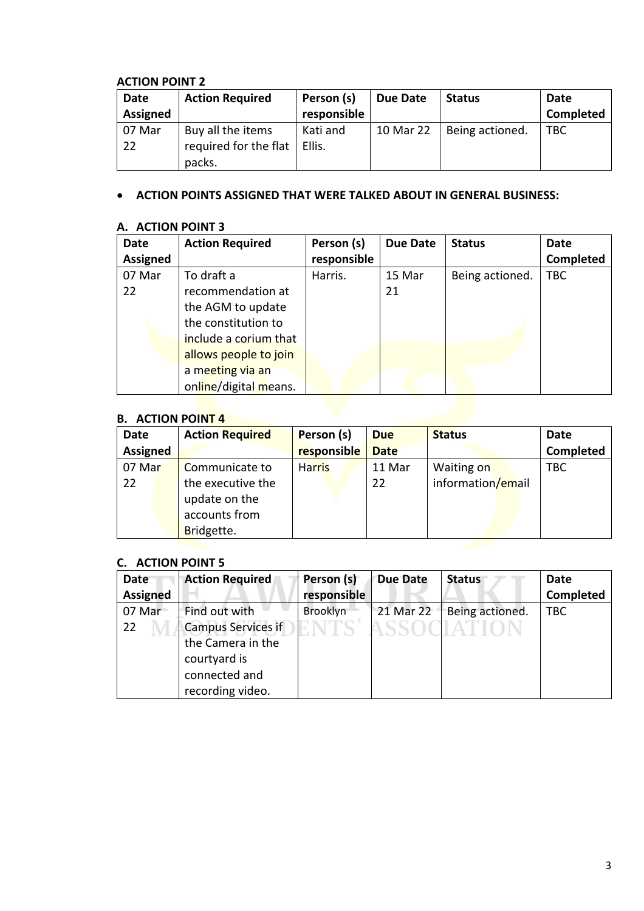# **ACTION POINT 2**

| <b>Date</b>     | <b>Action Required</b> | Person (s)  | <b>Due Date</b> | <b>Status</b>   | Date       |
|-----------------|------------------------|-------------|-----------------|-----------------|------------|
| <b>Assigned</b> |                        | responsible |                 |                 | Completed  |
| 07 Mar          | Buy all the items      | Kati and    | 10 Mar 22       | Being actioned. | <b>TBC</b> |
| 22              | required for the flat  | Ellis.      |                 |                 |            |
|                 | packs.                 |             |                 |                 |            |

# • **ACTION POINTS ASSIGNED THAT WERE TALKED ABOUT IN GENERAL BUSINESS:**

# **A. ACTION POINT 3**

| <b>Date</b>     | <b>Action Required</b> | Person (s)  | Due Date | <b>Status</b>   | <b>Date</b> |
|-----------------|------------------------|-------------|----------|-----------------|-------------|
| <b>Assigned</b> |                        | responsible |          |                 | Completed   |
| 07 Mar          | To draft a             | Harris.     | 15 Mar   | Being actioned. | <b>TBC</b>  |
| 22              | recommendation at      |             | 21       |                 |             |
|                 | the AGM to update      |             |          |                 |             |
|                 | the constitution to    |             |          |                 |             |
|                 | include a corium that  |             |          |                 |             |
|                 | allows people to join  |             |          |                 |             |
|                 | a meeting via an       |             |          |                 |             |
|                 | online/digital means.  |             |          |                 |             |
|                 |                        |             |          |                 |             |

# **B. ACTION POINT 4**

| responsible<br><b>Assigned</b><br><b>Date</b><br>07 Mar                                            | <b>Date</b>      | <b>Status</b> | <b>Due</b> | Person (s)    | <b>Action Required</b> | Date |
|----------------------------------------------------------------------------------------------------|------------------|---------------|------------|---------------|------------------------|------|
|                                                                                                    | <b>Completed</b> |               |            |               |                        |      |
| information/email<br>the executive the<br>22<br>22<br>update on the<br>accounts from<br>Bridgette. | <b>TBC</b>       | Waiting on    | 11 Mar     | <b>Harris</b> | Communicate to         |      |

# **C. ACTION POINT 5**

| Date<br><b>Assigned</b> | <b>Action Required</b>                                                                                               | Person (s)<br>responsible | <b>Due Date</b> | <b>Status</b>                    | <b>Date</b><br><b>Completed</b> |
|-------------------------|----------------------------------------------------------------------------------------------------------------------|---------------------------|-----------------|----------------------------------|---------------------------------|
| 07 Mar<br>22            | Find out with<br><b>Campus Services if</b><br>the Camera in the<br>courtyard is<br>connected and<br>recording video. | Brooklyn                  | 21 Mar 22       | Being actioned.<br>. SSOCIEATION | <b>TBC</b>                      |